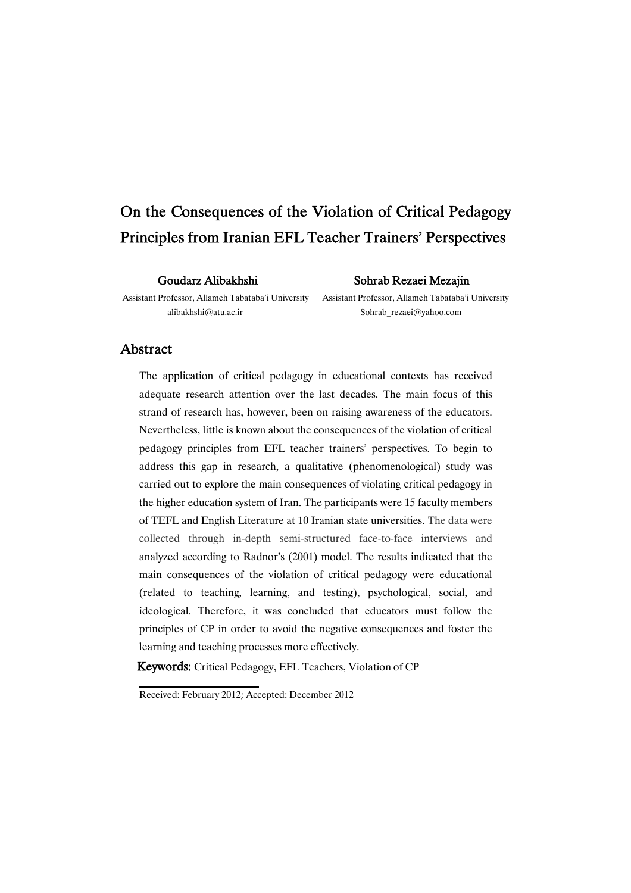# On the Consequences of the Violation of Critical Pedagogy Principles from Iranian EFL Teacher Trainers' Perspectives

#### Goudarz Alibakhshi Sohrab Rezaei Mezajin

Assistant Professor, Allameh Tabataba'i University Assistant Professor, Allameh Tabataba'i University

alibakhshi@atu.ac.ir Sohrab rezaei@yahoo.com

### Abstract

The application of critical pedagogy in educational contexts has received adequate research attention over the last decades. The main focus of this strand of research has, however, been on raising awareness of the educators. Nevertheless, little is known about the consequences of the violation of critical pedagogy principles from EFL teacher trainers' perspectives. To begin to address this gap in research, a qualitative (phenomenological) study was carried out to explore the main consequences of violating critical pedagogy in the higher education system of Iran. The participants were 15 faculty members of TEFL and English Literature at 10 Iranian state universities. The data were collected through in-depth semi-structured face-to-face interviews and analyzed according to Radnor's (2001) model. The results indicated that the main consequences of the violation of critical pedagogy were educational (related to teaching, learning, and testing), psychological, social, and ideological. Therefore, it was concluded that educators must follow the principles of CP in order to avoid the negative consequences and foster the learning and teaching processes more effectively.

Keywords: Critical Pedagogy, EFL Teachers, Violation of CP

Received: February 2012; Accepted: December 2012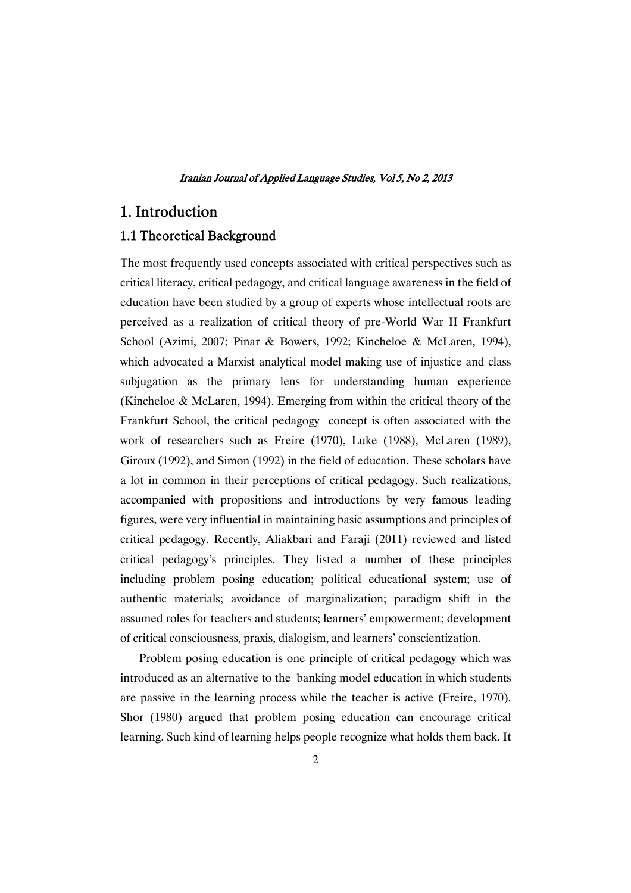## 1. Introduction

### 1.1 Theoretical Background

The most frequently used concepts associated with critical perspectives such as critical literacy, critical pedagogy, and critical language awareness in the field of education have been studied by a group of experts whose intellectual roots are perceived as a realization of critical theory of pre-World War II Frankfurt School (Azimi, 2007; Pinar & Bowers, 1992; Kincheloe & McLaren, 1994), which advocated a Marxist analytical model making use of injustice and class subjugation as the primary lens for understanding human experience (Kincheloe & McLaren, 1994). Emerging from within the critical theory of the Frankfurt School, the critical pedagogy concept is often associated with the work of researchers such as Freire (1970), Luke (1988), McLaren (1989), Giroux (1992), and Simon (1992) in the field of education. These scholars have a lot in common in their perceptions of critical pedagogy. Such realizations, accompanied with propositions and introductions by very famous leading figures, were very influential in maintaining basic assumptions and principles of critical pedagogy. Recently, Aliakbari and Faraji (2011) reviewed and listed critical pedagogy's principles. They listed a number of these principles including problem posing education; political educational system; use of authentic materials; avoidance of marginalization; paradigm shift in the assumed roles for teachers and students; learners' empowerment; development of critical consciousness, praxis, dialogism, and learners' conscientization.

Problem posing education is one principle of critical pedagogy which was introduced as an alternative to the banking model education in which students are passive in the learning process while the teacher is active (Freire, 1970). Shor (1980) argued that problem posing education can encourage critical learning. Such kind of learning helps people recognize what holds them back. It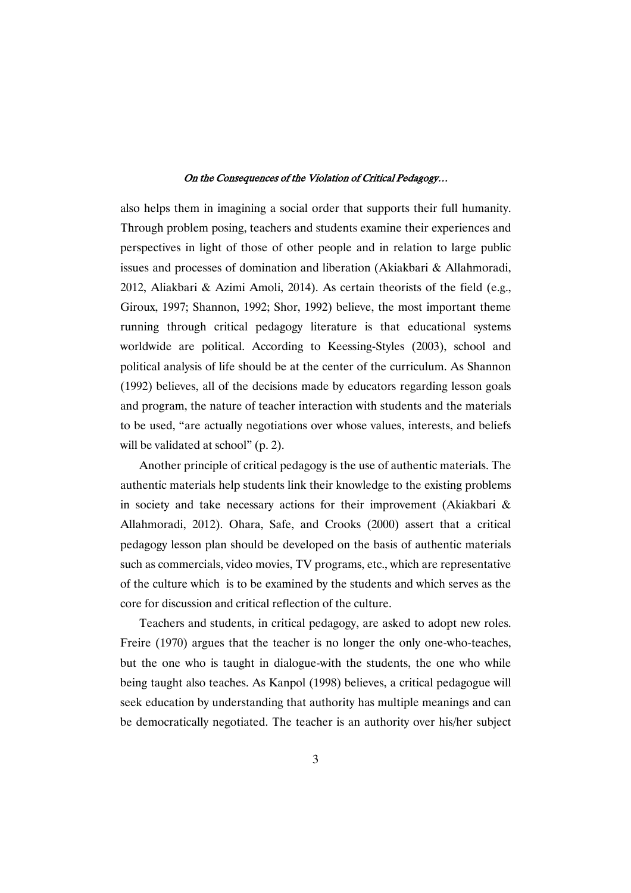also helps them in imagining a social order that supports their full humanity. Through problem posing, teachers and students examine their experiences and perspectives in light of those of other people and in relation to large public issues and processes of domination and liberation (Akiakbari & Allahmoradi, 2012, Aliakbari & Azimi Amoli, 2014). As certain theorists of the field (e.g., Giroux, 1997; Shannon, 1992; Shor, 1992) believe, the most important theme running through critical pedagogy literature is that educational systems worldwide are political. According to Keessing-Styles (2003), school and political analysis of life should be at the center of the curriculum. As Shannon (1992) believes, all of the decisions made by educators regarding lesson goals and program, the nature of teacher interaction with students and the materials to be used, "are actually negotiations over whose values, interests, and beliefs will be validated at school" (p. 2).

Another principle of critical pedagogy is the use of authentic materials. The authentic materials help students link their knowledge to the existing problems in society and take necessary actions for their improvement (Akiakbari & Allahmoradi, 2012). Ohara, Safe, and Crooks (2000) assert that a critical pedagogy lesson plan should be developed on the basis of authentic materials such as commercials, video movies, TV programs, etc., which are representative of the culture which is to be examined by the students and which serves as the core for discussion and critical reflection of the culture.

Teachers and students, in critical pedagogy, are asked to adopt new roles. Freire (1970) argues that the teacher is no longer the only one-who-teaches, but the one who is taught in dialogue-with the students, the one who while being taught also teaches. As Kanpol (1998) believes, a critical pedagogue will seek education by understanding that authority has multiple meanings and can be democratically negotiated. The teacher is an authority over his/her subject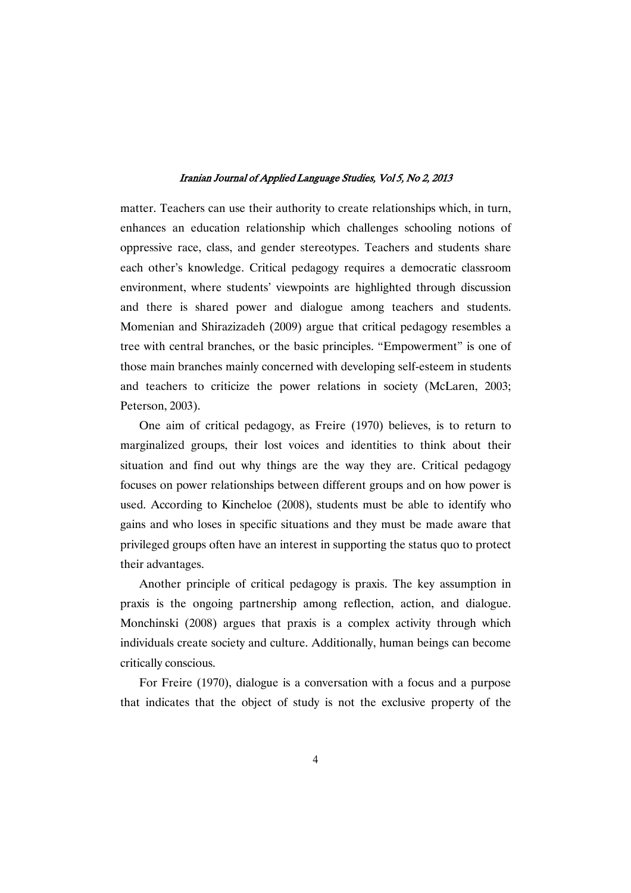matter. Teachers can use their authority to create relationships which, in turn, enhances an education relationship which challenges schooling notions of oppressive race, class, and gender stereotypes. Teachers and students share each other's knowledge. Critical pedagogy requires a democratic classroom environment, where students' viewpoints are highlighted through discussion and there is shared power and dialogue among teachers and students. Momenian and Shirazizadeh (2009) argue that critical pedagogy resembles a tree with central branches, or the basic principles. "Empowerment" is one of those main branches mainly concerned with developing self-esteem in students and teachers to criticize the power relations in society (McLaren, 2003; Peterson, 2003).

One aim of critical pedagogy, as Freire (1970) believes, is to return to marginalized groups, their lost voices and identities to think about their situation and find out why things are the way they are. Critical pedagogy focuses on power relationships between different groups and on how power is used. According to Kincheloe (2008), students must be able to identify who gains and who loses in specific situations and they must be made aware that privileged groups often have an interest in supporting the status quo to protect their advantages.

Another principle of critical pedagogy is praxis. The key assumption in praxis is the ongoing partnership among reflection, action, and dialogue. Monchinski (2008) argues that praxis is a complex activity through which individuals create society and culture. Additionally, human beings can become critically conscious.

For Freire (1970), dialogue is a conversation with a focus and a purpose that indicates that the object of study is not the exclusive property of the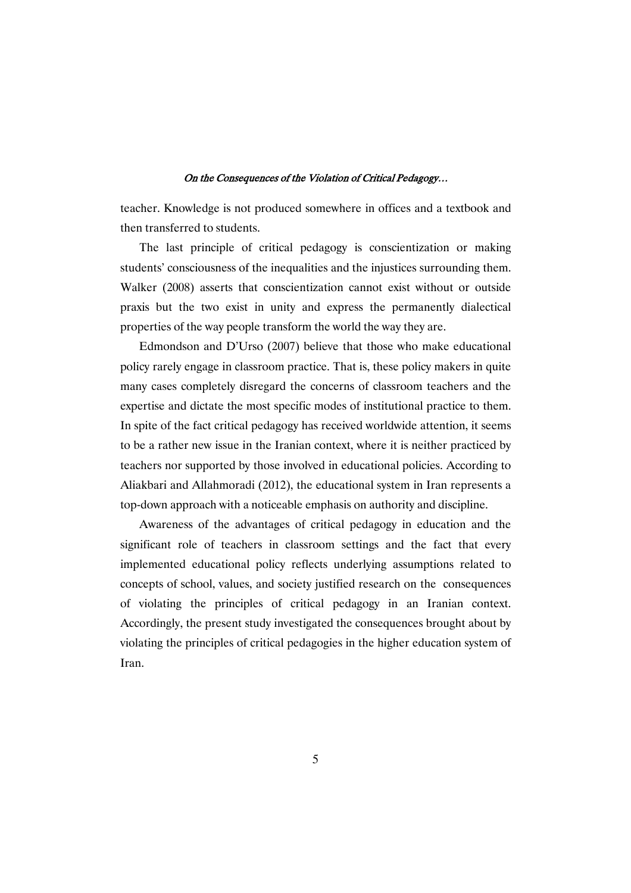teacher. Knowledge is not produced somewhere in offices and a textbook and then transferred to students.

The last principle of critical pedagogy is conscientization or making students' consciousness of the inequalities and the injustices surrounding them. Walker (2008) asserts that conscientization cannot exist without or outside praxis but the two exist in unity and express the permanently dialectical properties of the way people transform the world the way they are.

Edmondson and D'Urso (2007) believe that those who make educational policy rarely engage in classroom practice. That is, these policy makers in quite many cases completely disregard the concerns of classroom teachers and the expertise and dictate the most specific modes of institutional practice to them. In spite of the fact critical pedagogy has received worldwide attention, it seems to be a rather new issue in the Iranian context, where it is neither practiced by teachers nor supported by those involved in educational policies. According to Aliakbari and Allahmoradi (2012), the educational system in Iran represents a top-down approach with a noticeable emphasis on authority and discipline.

Awareness of the advantages of critical pedagogy in education and the significant role of teachers in classroom settings and the fact that every implemented educational policy reflects underlying assumptions related to concepts of school, values, and society justified research on the consequences of violating the principles of critical pedagogy in an Iranian context. Accordingly, the present study investigated the consequences brought about by violating the principles of critical pedagogies in the higher education system of Iran.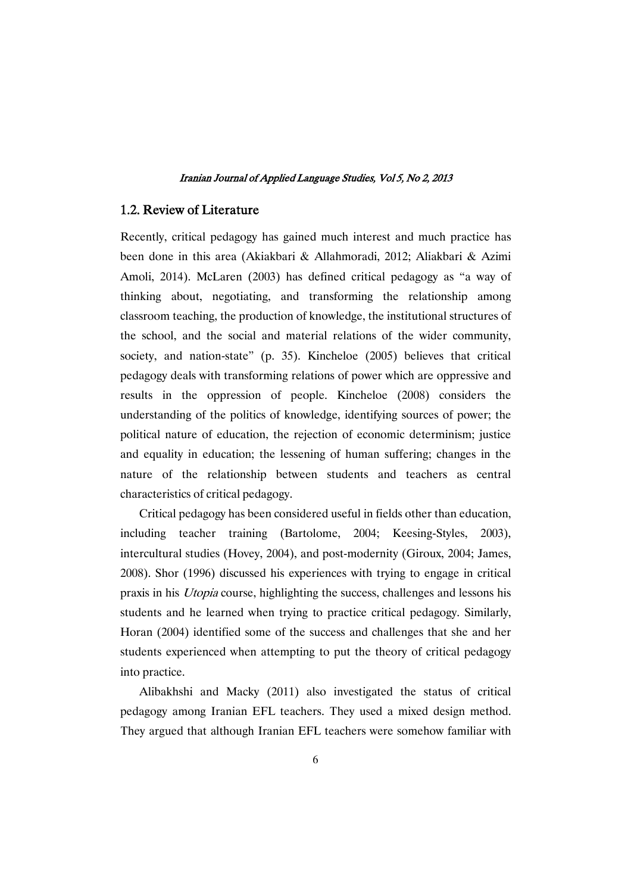### 1.2. Review of Literature

Recently, critical pedagogy has gained much interest and much practice has been done in this area (Akiakbari & Allahmoradi, 2012; Aliakbari & Azimi Amoli, 2014). McLaren (2003) has defined critical pedagogy as "a way of thinking about, negotiating, and transforming the relationship among classroom teaching, the production of knowledge, the institutional structures of the school, and the social and material relations of the wider community, society, and nation-state" (p. 35). Kincheloe (2005) believes that critical pedagogy deals with transforming relations of power which are oppressive and results in the oppression of people. Kincheloe (2008) considers the understanding of the politics of knowledge, identifying sources of power; the political nature of education, the rejection of economic determinism; justice and equality in education; the lessening of human suffering; changes in the nature of the relationship between students and teachers as central characteristics of critical pedagogy.

Critical pedagogy has been considered useful in fields other than education, including teacher training (Bartolome, 2004; Keesing-Styles, 2003), intercultural studies (Hovey, 2004), and post-modernity (Giroux, 2004; James, 2008). Shor (1996) discussed his experiences with trying to engage in critical praxis in his Utopia course, highlighting the success, challenges and lessons his students and he learned when trying to practice critical pedagogy. Similarly, Horan (2004) identified some of the success and challenges that she and her students experienced when attempting to put the theory of critical pedagogy into practice.

Alibakhshi and Macky (2011) also investigated the status of critical pedagogy among Iranian EFL teachers. They used a mixed design method. They argued that although Iranian EFL teachers were somehow familiar with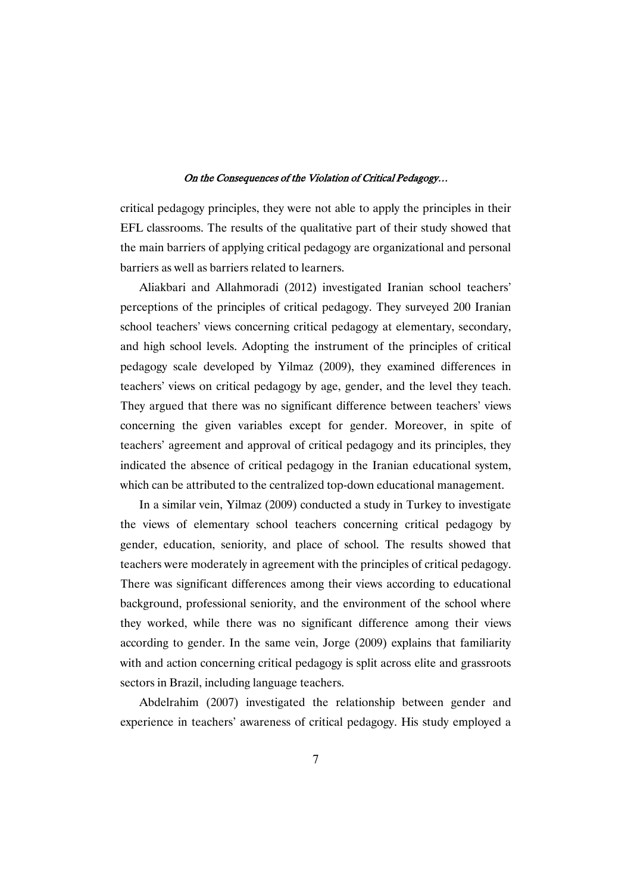critical pedagogy principles, they were not able to apply the principles in their EFL classrooms. The results of the qualitative part of their study showed that the main barriers of applying critical pedagogy are organizational and personal barriers as well as barriers related to learners.

Aliakbari and Allahmoradi (2012) investigated Iranian school teachers' perceptions of the principles of critical pedagogy. They surveyed 200 Iranian school teachers' views concerning critical pedagogy at elementary, secondary, and high school levels. Adopting the instrument of the principles of critical pedagogy scale developed by Yilmaz (2009), they examined differences in teachers' views on critical pedagogy by age, gender, and the level they teach. They argued that there was no significant difference between teachers' views concerning the given variables except for gender. Moreover, in spite of teachers' agreement and approval of critical pedagogy and its principles, they indicated the absence of critical pedagogy in the Iranian educational system, which can be attributed to the centralized top-down educational management.

In a similar vein, Yilmaz (2009) conducted a study in Turkey to investigate the views of elementary school teachers concerning critical pedagogy by gender, education, seniority, and place of school. The results showed that teachers were moderately in agreement with the principles of critical pedagogy. There was significant differences among their views according to educational background, professional seniority, and the environment of the school where they worked, while there was no significant difference among their views according to gender. In the same vein, Jorge (2009) explains that familiarity with and action concerning critical pedagogy is split across elite and grassroots sectors in Brazil, including language teachers.

Abdelrahim (2007) investigated the relationship between gender and experience in teachers' awareness of critical pedagogy. His study employed a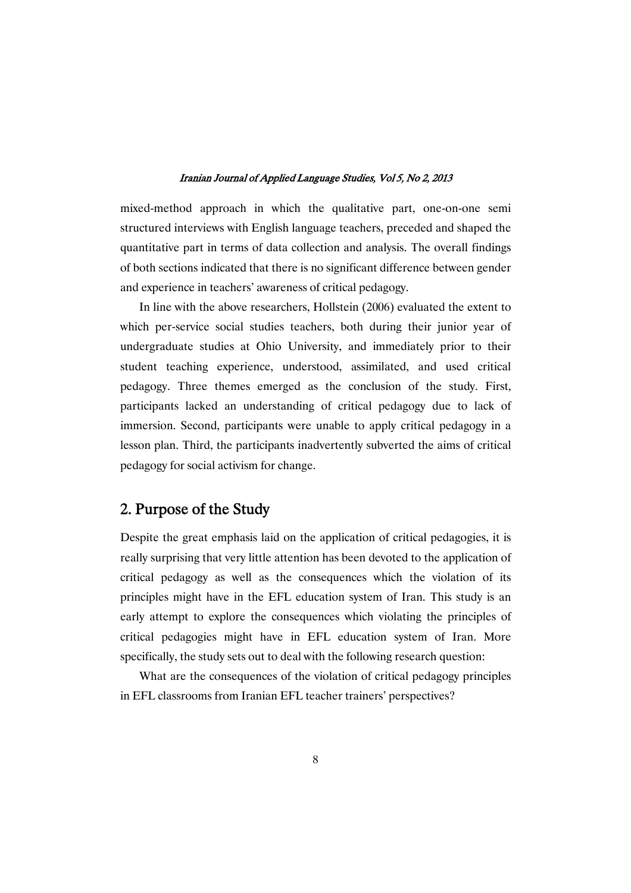mixed-method approach in which the qualitative part, one-on-one semi structured interviews with English language teachers, preceded and shaped the quantitative part in terms of data collection and analysis. The overall findings of both sections indicated that there is no significant difference between gender and experience in teachers' awareness of critical pedagogy.

In line with the above researchers, Hollstein (2006) evaluated the extent to which per-service social studies teachers, both during their junior year of undergraduate studies at Ohio University, and immediately prior to their student teaching experience, understood, assimilated, and used critical pedagogy. Three themes emerged as the conclusion of the study. First, participants lacked an understanding of critical pedagogy due to lack of immersion. Second, participants were unable to apply critical pedagogy in a lesson plan. Third, the participants inadvertently subverted the aims of critical pedagogy for social activism for change.

# 2. Purpose of the Study

Despite the great emphasis laid on the application of critical pedagogies, it is really surprising that very little attention has been devoted to the application of critical pedagogy as well as the consequences which the violation of its principles might have in the EFL education system of Iran. This study is an early attempt to explore the consequences which violating the principles of critical pedagogies might have in EFL education system of Iran. More specifically, the study sets out to deal with the following research question:

What are the consequences of the violation of critical pedagogy principles in EFL classrooms from Iranian EFL teacher trainers' perspectives?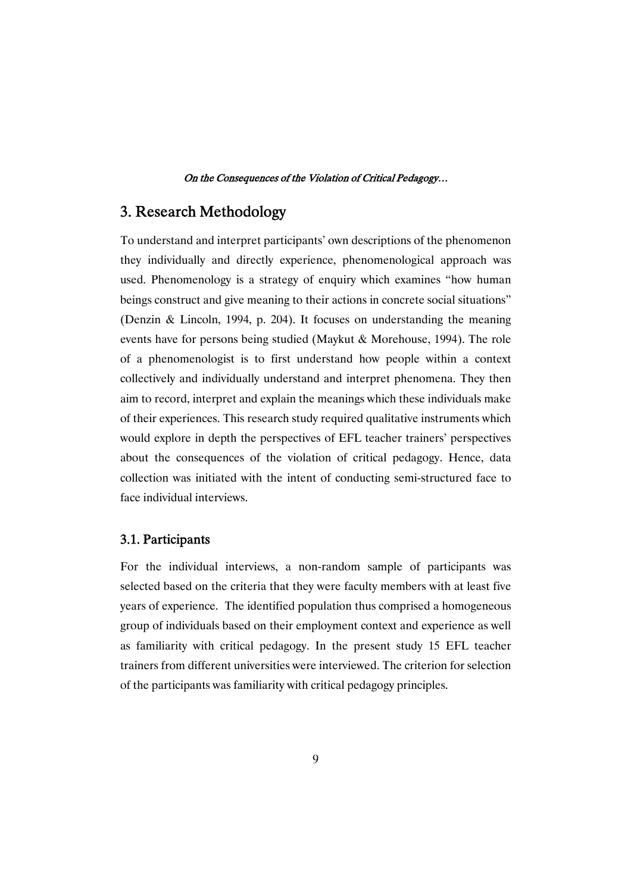# 3. Research Methodology

To understand and interpret participants' own descriptions of the phenomenon they individually and directly experience, phenomenological approach was used. Phenomenology is a strategy of enquiry which examines "how human beings construct and give meaning to their actions in concrete social situations" (Denzin & Lincoln, 1994, p. 204). It focuses on understanding the meaning events have for persons being studied (Maykut & Morehouse, 1994). The role of a phenomenologist is to first understand how people within a context collectively and individually understand and interpret phenomena. They then aim to record, interpret and explain the meanings which these individuals make of their experiences. This research study required qualitative instruments which would explore in depth the perspectives of EFL teacher trainers' perspectives about the consequences of the violation of critical pedagogy. Hence, data collection was initiated with the intent of conducting semi-structured face to face individual interviews.

### 3.1.Participants

For the individual interviews, a non-random sample of participants was selected based on the criteria that they were faculty members with at least five years of experience. The identified population thus comprised a homogeneous group of individuals based on their employment context and experience as well as familiarity with critical pedagogy. In the present study 15 EFL teacher trainers from different universities were interviewed. The criterion for selection of the participants was familiarity with critical pedagogy principles.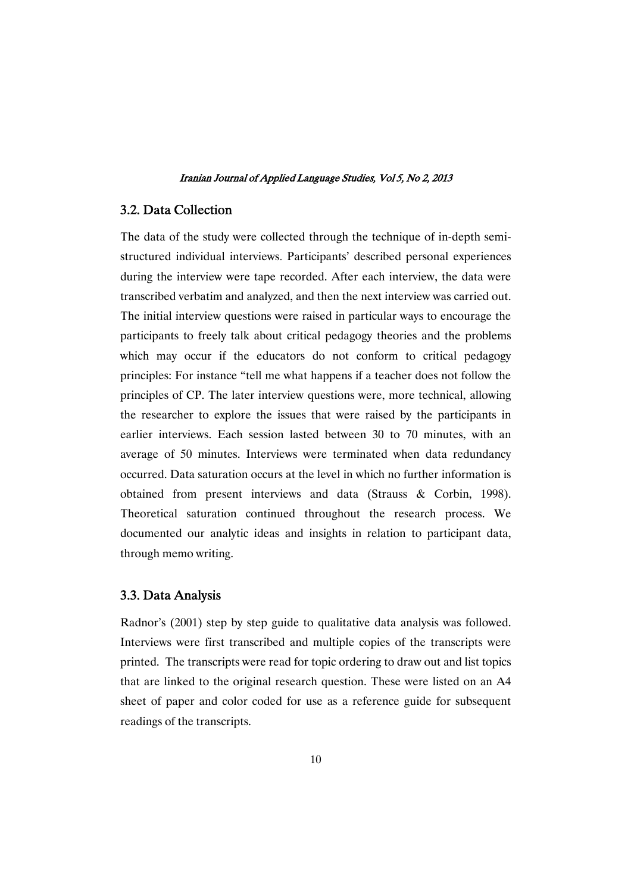### 3.2.DataCollection

The data of the study were collected through the technique of in-depth semistructured individual interviews. Participants' described personal experiences during the interview were tape recorded. After each interview, the data were transcribed verbatim and analyzed, and then the next interview was carried out. The initial interview questions were raised in particular ways to encourage the participants to freely talk about critical pedagogy theories and the problems which may occur if the educators do not conform to critical pedagogy principles: For instance "tell me what happens if a teacher does not follow the principles of CP. The later interview questions were, more technical, allowing the researcher to explore the issues that were raised by the participants in earlier interviews. Each session lasted between 30 to 70 minutes, with an average of 50 minutes. Interviews were terminated when data redundancy occurred. Data saturation occurs at the level in which no further information is obtained from present interviews and data (Strauss & Corbin, 1998). Theoretical saturation continued throughout the research process. We documented our analytic ideas and insights in relation to participant data, through memo writing.

### 3.3.DataAnalysis

Radnor's (2001) step by step guide to qualitative data analysis was followed. Interviews were first transcribed and multiple copies of the transcripts were printed. The transcripts were read for topic ordering to draw out and list topics that are linked to the original research question. These were listed on an A4 sheet of paper and color coded for use as a reference guide for subsequent readings of the transcripts.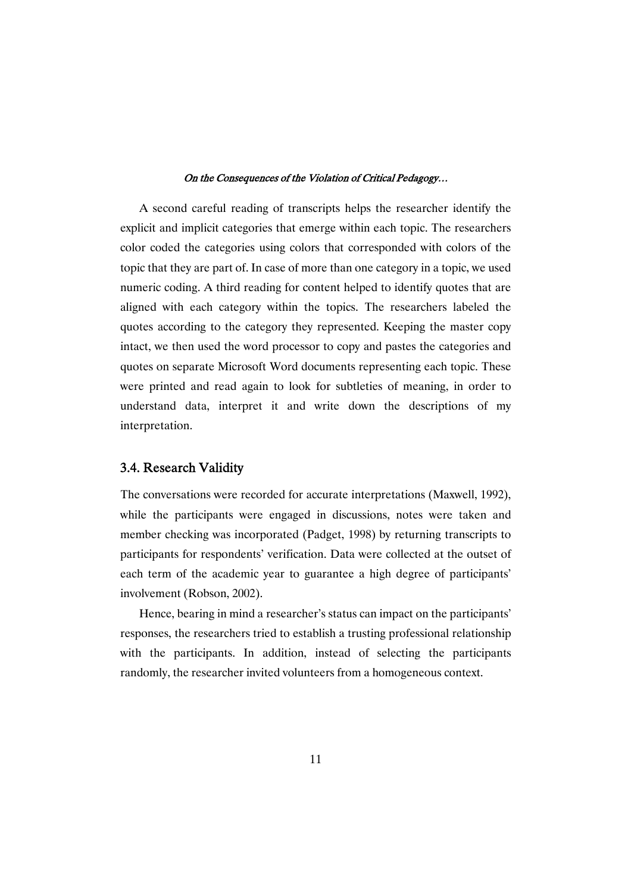A second careful reading of transcripts helps the researcher identify the explicit and implicit categories that emerge within each topic. The researchers color coded the categories using colors that corresponded with colors of the topic that they are part of. In case of more than one category in a topic, we used numeric coding. A third reading for content helped to identify quotes that are aligned with each category within the topics. The researchers labeled the quotes according to the category they represented. Keeping the master copy intact, we then used the word processor to copy and pastes the categories and quotes on separate Microsoft Word documents representing each topic. These were printed and read again to look for subtleties of meaning, in order to understand data, interpret it and write down the descriptions of my interpretation.

### 3.4. Research Validity

The conversations were recorded for accurate interpretations (Maxwell, 1992), while the participants were engaged in discussions, notes were taken and member checking was incorporated (Padget, 1998) by returning transcripts to participants for respondents' verification. Data were collected at the outset of each term of the academic year to guarantee a high degree of participants' involvement (Robson, 2002).

Hence, bearing in mind a researcher's status can impact on the participants' responses, the researchers tried to establish a trusting professional relationship with the participants. In addition, instead of selecting the participants randomly, the researcher invited volunteers from a homogeneous context.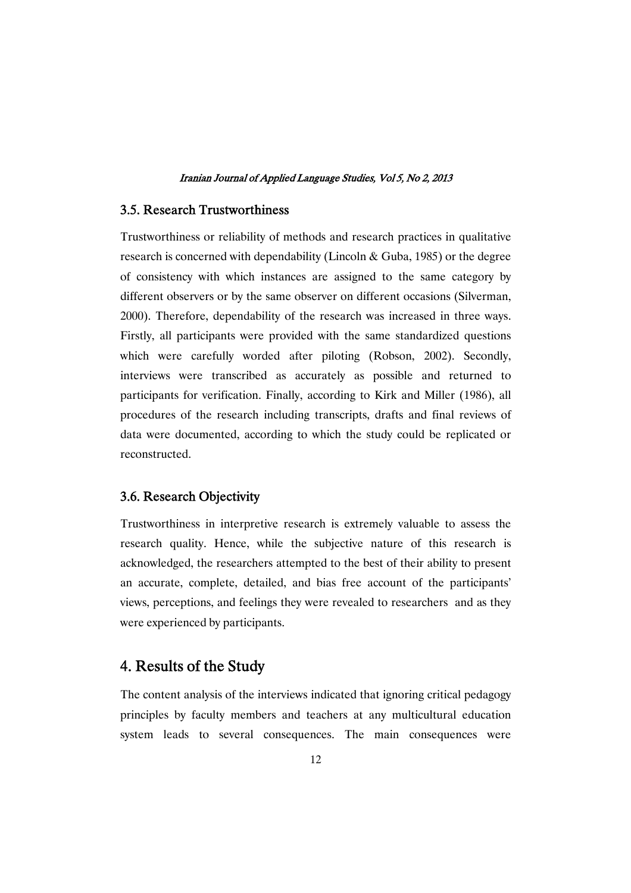### 3.5. Research Trustworthiness

Trustworthiness or reliability of methods and research practices in qualitative research is concerned with dependability (Lincoln & Guba, 1985) or the degree of consistency with which instances are assigned to the same category by different observers or by the same observer on different occasions (Silverman, 2000). Therefore, dependability of the research was increased in three ways. Firstly, all participants were provided with the same standardized questions which were carefully worded after piloting (Robson, 2002). Secondly, interviews were transcribed as accurately as possible and returned to participants for verification. Finally, according to Kirk and Miller (1986), all procedures of the research including transcripts, drafts and final reviews of data were documented, according to which the study could be replicated or reconstructed.

### 3.6. Research Objectivity

Trustworthiness in interpretive research is extremely valuable to assess the research quality. Hence, while the subjective nature of this research is acknowledged, the researchers attempted to the best of their ability to present an accurate, complete, detailed, and bias free account of the participants' views, perceptions, and feelings they were revealed to researchers and as they were experienced by participants.

# 4. Results of the Study

The content analysis of the interviews indicated that ignoring critical pedagogy principles by faculty members and teachers at any multicultural education system leads to several consequences. The main consequences were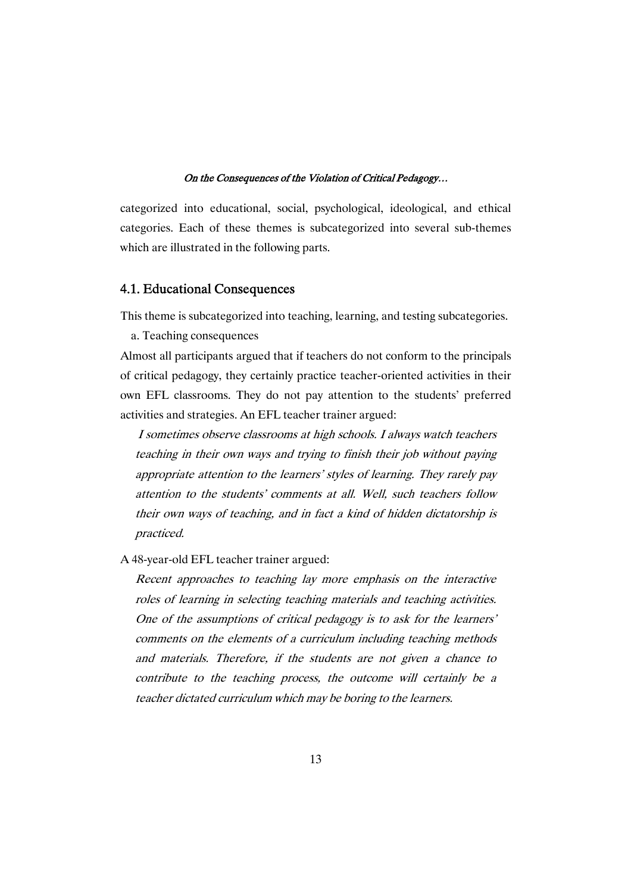categorized into educational, social, psychological, ideological, and ethical categories. Each of these themes is subcategorized into several sub-themes which are illustrated in the following parts.

### 4.1. Educational Consequences

This theme is subcategorized into teaching, learning, and testing subcategories.

a. Teaching consequences

Almost all participants argued that if teachers do not conform to the principals of critical pedagogy, they certainly practice teacher-oriented activities in their own EFL classrooms. They do not pay attention to the students' preferred activities and strategies. An EFL teacher trainer argued:

I sometimes observe classrooms at high schools. I always watch teachers teaching in their own ways and trying to finish their job without paying appropriate attention to the learners' styles of learning. They rarely pay attention to the students' comments at all. Well, such teachers follow their own ways of teaching, and in fact <sup>a</sup> kind of hidden dictatorship is practiced.

A 48-year-old EFL teacher trainer argued:

Recent approaches to teaching lay more emphasis on the interactive roles of learning in selecting teaching materials and teaching activities. One of the assumptions of critical pedagogy is to ask for the learners' comments on the elements of <sup>a</sup> curriculum including teaching methods and materials. Therefore, if the students are not given <sup>a</sup> chance to contribute to the teaching process, the outcome will certainly be <sup>a</sup> teacher dictated curriculum which may be boring to the learners.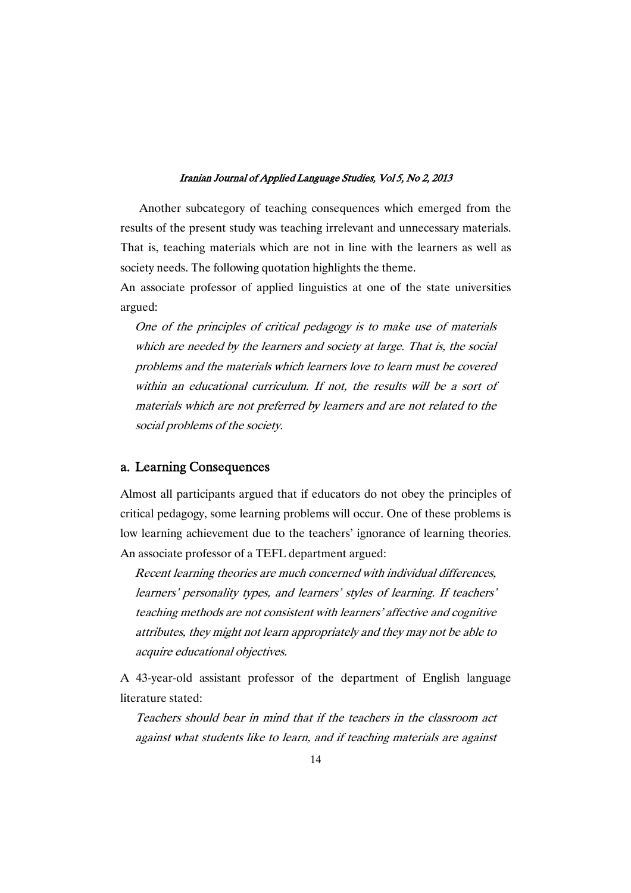Another subcategory of teaching consequences which emerged from the results of the present study was teaching irrelevant and unnecessary materials. That is, teaching materials which are not in line with the learners as well as society needs. The following quotation highlights the theme.

An associate professor of applied linguistics at one of the state universities argued:

One of the principles of critical pedagogy is to make use of materials which are needed by the learners and society at large. That is, the social problems and the materials which learners love to learn must be covered within an educational curriculum. If not, the results will be <sup>a</sup> sort of materials which are not preferred by learners and are not related to the social problems of the society.

### a. Learning Consequences

Almost all participants argued that if educators do not obey the principles of critical pedagogy, some learning problems will occur. One of these problems is low learning achievement due to the teachers' ignorance of learning theories. An associate professor of a TEFL department argued:

Recent learning theories are much concerned with individual differences, learners' personality types, and learners' styles of learning. If teachers' teaching methods are not consistent with learners' affective and cognitive attributes, they might not learn appropriately and they may not be able to acquire educational objectives.

A 43-year-old assistant professor of the department of English language literature stated:

Teachers should bear in mind that if the teachers in the classroom act against what students like to learn, and if teaching materials are against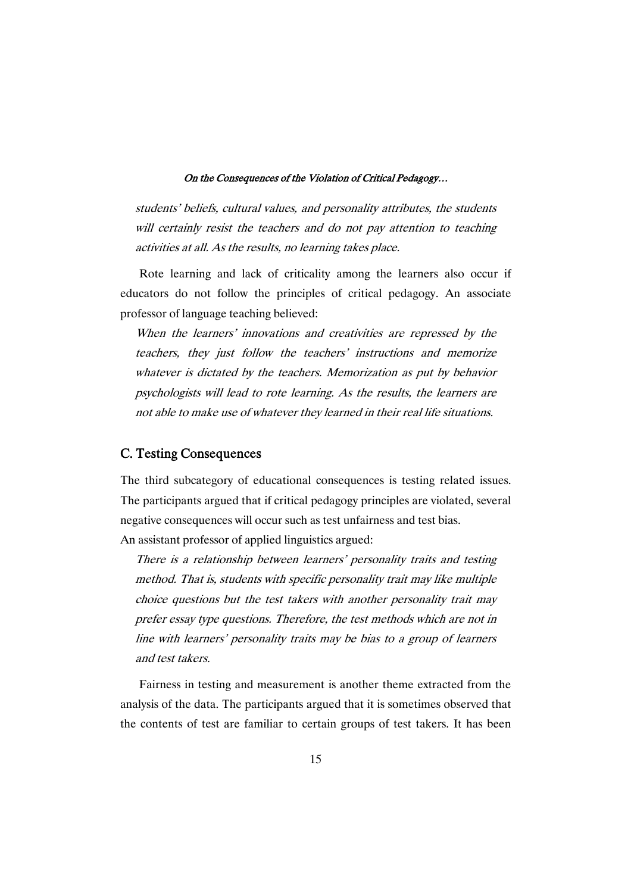students' beliefs, cultural values, and personality attributes, the students will certainly resist the teachers and do not pay attention to teaching activities at all. As the results, no learning takes place.

Rote learning and lack of criticality among the learners also occur if educators do not follow the principles of critical pedagogy. An associate professor of language teaching believed:

When the learners' innovations and creativities are repressed by the teachers, they just follow the teachers' instructions and memorize whatever is dictated by the teachers. Memorization as put by behavior psychologists will lead to rote learning. As the results, the learners are not able to make use of whatever they learned in their real life situations.

### C. Testing Consequences

The third subcategory of educational consequences is testing related issues. The participants argued that if critical pedagogy principles are violated, several negative consequences will occur such as test unfairness and test bias. An assistant professor of applied linguistics argued:

There is <sup>a</sup> relationship between learners' personality traits and testing method. That is, students with specific personality trait may like multiple choice questions but the test takers with another personality trait may prefer essay type questions. Therefore, the test methods which are not in line with learners' personality traits may be bias to <sup>a</sup> group of learners and test takers.

Fairness in testing and measurement is another theme extracted from the analysis of the data. The participants argued that it is sometimes observed that the contents of test are familiar to certain groups of test takers. It has been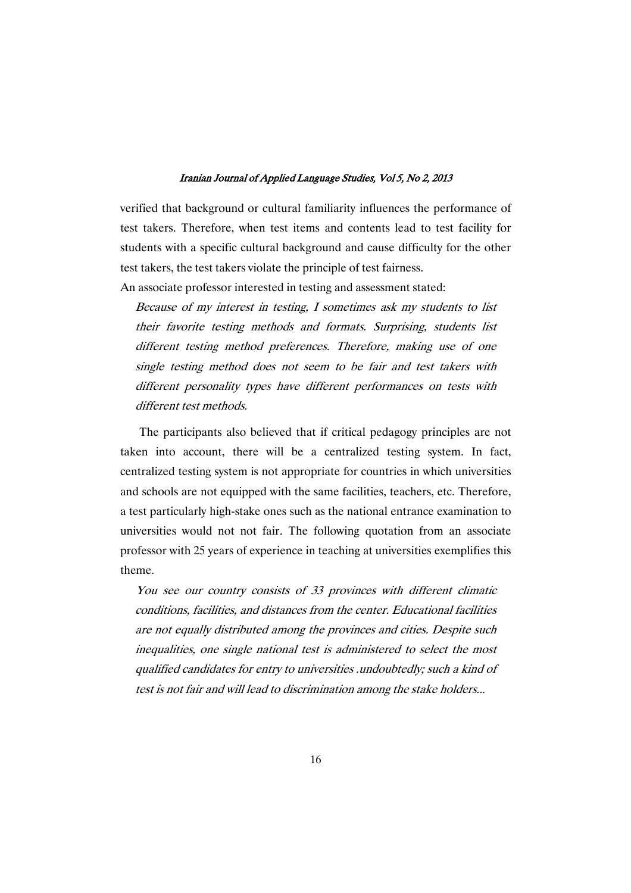verified that background or cultural familiarity influences the performance of test takers. Therefore, when test items and contents lead to test facility for students with a specific cultural background and cause difficulty for the other test takers, the test takers violate the principle of test fairness.

An associate professor interested in testing and assessment stated:

Because of my interest in testing, I sometimes ask my students to list their favorite testing methods and formats. Surprising, students list different testing method preferences. Therefore, making use of one single testing method does not seem to be fair and test takers with different personality types have different performances on tests with different test methods

The participants also believed that if critical pedagogy principles are not taken into account, there will be a centralized testing system. In fact, centralized testing system is not appropriate for countries in which universities and schools are not equipped with the same facilities, teachers, etc. Therefore, a test particularly high-stake ones such as the national entrance examination to universities would not not fair. The following quotation from an associate professor with 25 years of experience in teaching at universities exemplifies this theme.

You see our country consists of 33 provinces with different climatic conditions, facilities, and distances from the center. Educational facilities are not equally distributed among the provinces and cities. Despite such inequalities, one single national test is administered to select the most qualified candidates for entry to universities .undoubtedly; such <sup>a</sup> kind of test is not fair and will lead to discrimination among the stake holders...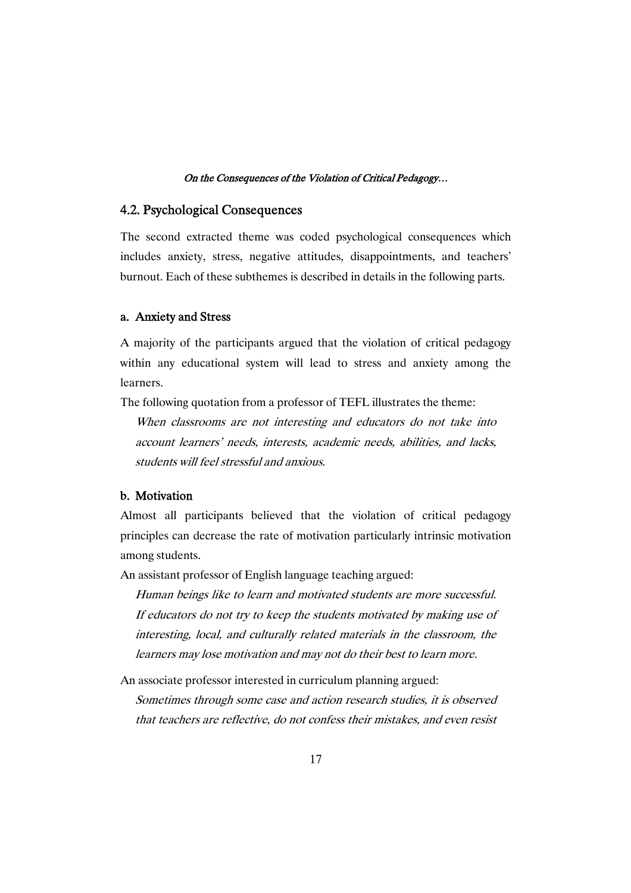### 4.2. Psychological Consequences

The second extracted theme was coded psychological consequences which includes anxiety, stress, negative attitudes, disappointments, and teachers' burnout. Each of these subthemes is described in details in the following parts.

#### a. Anxiety and Stress

A majority of the participants argued that the violation of critical pedagogy within any educational system will lead to stress and anxiety among the learners.

The following quotation from a professor of TEFL illustrates the theme:

When classrooms are not interesting and educators do not take into account learners' needs, interests, academic needs, abilities, and lacks, students will feel stressful and anxious.

### b. Motivation

Almost all participants believed that the violation of critical pedagogy principles can decrease the rate of motivation particularly intrinsic motivation among students.

An assistant professor of English language teaching argued:

Human beings like to learn and motivated students are more successful. If educators do not try to keep the students motivated by making use of interesting, local, and culturally related materials in the classroom, the learners may lose motivation and may not do their best to learn more.

An associate professor interested in curriculum planning argued:

Sometimes through some case and action research studies, it is observed that teachers are reflective, do not confess their mistakes, and even resist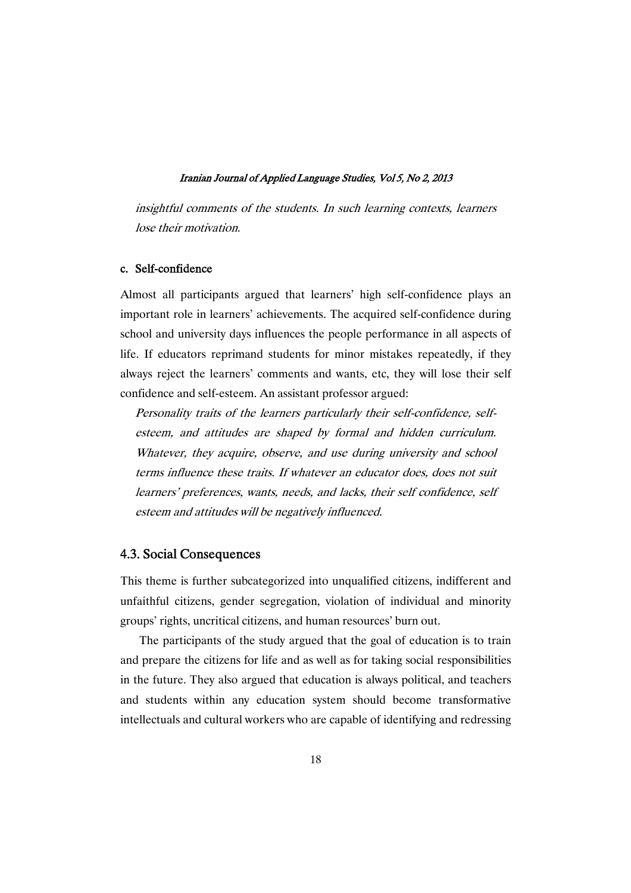insightful comments of the students. In such learning contexts, learners lose their motivation.

### c. Self-confidence

Almost all participants argued that learners' high self-confidence plays an important role in learners' achievements. The acquired self-confidence during school and university days influences the people performance in all aspects of life. If educators reprimand students for minor mistakes repeatedly, if they always reject the learners' comments and wants, etc, they will lose their self confidence and self-esteem. An assistant professor argued:

Personality traits of the learners particularly their self-confidence, selfesteem, and attitudes are shaped by formal and hidden curriculum. Whatever, they acquire, observe, and use during university and school terms influence these traits. If whatever an educator does, does not suit learners' preferences, wants, needs, and lacks, their self confidence, self esteem and attitudes will be negatively influenced.

### 4.3. Social Consequences

This theme is further subcategorized into unqualified citizens, indifferent and unfaithful citizens, gender segregation, violation of individual and minority groups' rights, uncritical citizens, and human resources' burn out.

The participants of the study argued that the goal of education is to train and prepare the citizens for life and as well as for taking social responsibilities in the future. They also argued that education is always political, and teachers and students within any education system should become transformative intellectuals and cultural workers who are capable of identifying and redressing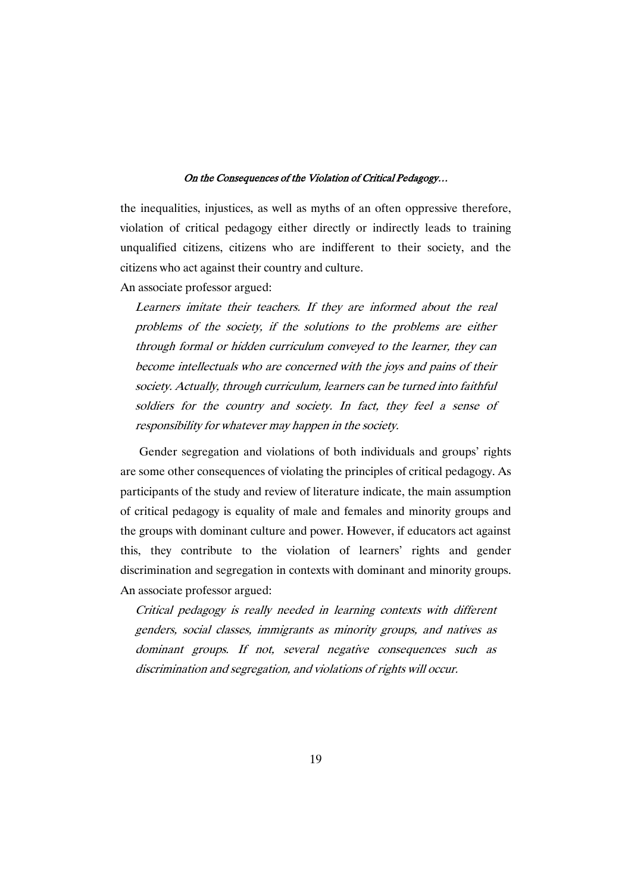the inequalities, injustices, as well as myths of an often oppressive therefore, violation of critical pedagogy either directly or indirectly leads to training unqualified citizens, citizens who are indifferent to their society, and the citizens who act against their country and culture.

An associate professor argued:

Learners imitate their teachers. If they are informed about the real problems of the society, if the solutions to the problems are either through formal or hidden curriculum conveyed to the learner, they can become intellectuals who are concerned with the joys and pains of their society. Actually, through curriculum, learners can be turned into faithful soldiers for the country and society. In fact, they feel <sup>a</sup> sense of responsibility for whatever may happen in the society.

Gender segregation and violations of both individuals and groups' rights are some other consequences of violating the principles of critical pedagogy. As participants of the study and review of literature indicate, the main assumption of critical pedagogy is equality of male and females and minority groups and the groups with dominant culture and power. However, if educators act against this, they contribute to the violation of learners' rights and gender discrimination and segregation in contexts with dominant and minority groups. An associate professor argued:

Critical pedagogy is really needed in learning contexts with different genders, social classes, immigrants as minority groups, and natives as dominant groups. If not, several negative consequences such as discrimination and segregation, and violations of rights will occur.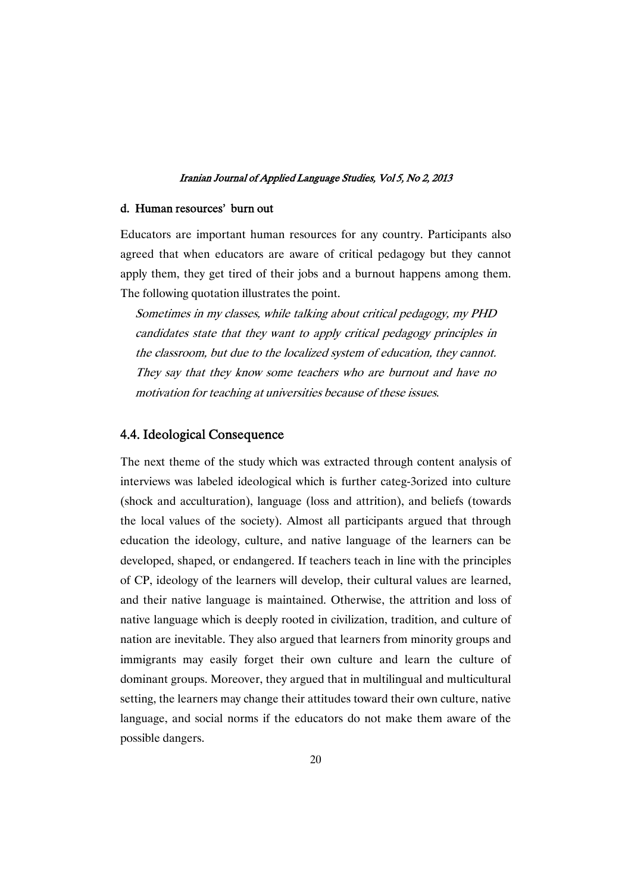#### d. Human resources' burn out

Educators are important human resources for any country. Participants also agreed that when educators are aware of critical pedagogy but they cannot apply them, they get tired of their jobs and a burnout happens among them. The following quotation illustrates the point.

Sometimes in my classes, while talking about critical pedagogy, my PHD candidates state that they want to apply critical pedagogy principles in the classroom, but due to the localized system of education, they cannot. They say that they know some teachers who are burnout and have no motivation for teaching at universities because of these issues.

### 4.4. Ideological Consequence

The next theme of the study which was extracted through content analysis of interviews was labeled ideological which is further categ-3orized into culture (shock and acculturation), language (loss and attrition), and beliefs (towards the local values of the society). Almost all participants argued that through education the ideology, culture, and native language of the learners can be developed, shaped, or endangered. If teachers teach in line with the principles of CP, ideology of the learners will develop, their cultural values are learned, and their native language is maintained. Otherwise, the attrition and loss of native language which is deeply rooted in civilization, tradition, and culture of nation are inevitable. They also argued that learners from minority groups and immigrants may easily forget their own culture and learn the culture of dominant groups. Moreover, they argued that in multilingual and multicultural setting, the learners may change their attitudes toward their own culture, native language, and social norms if the educators do not make them aware of the possible dangers.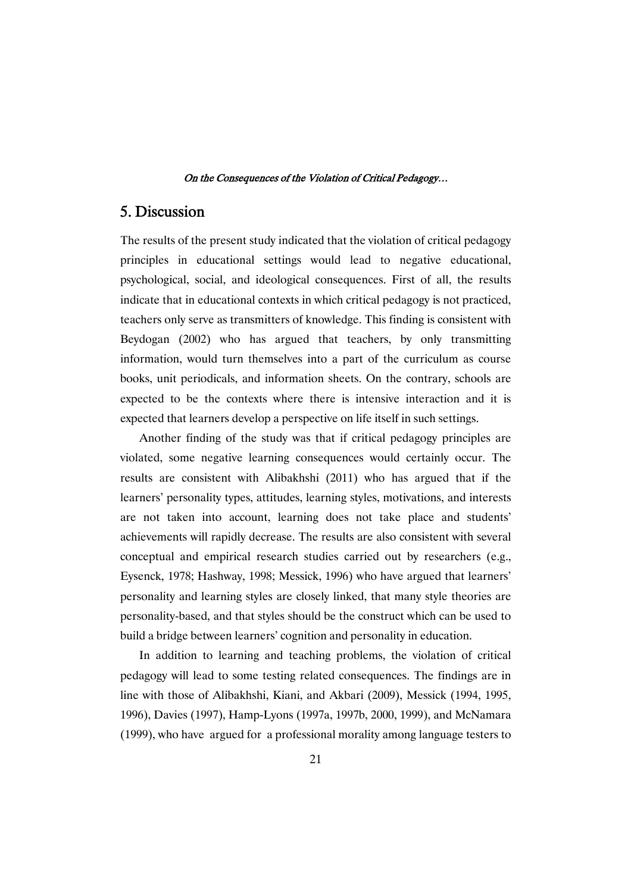# 5.Discussion

The results of the present study indicated that the violation of critical pedagogy principles in educational settings would lead to negative educational, psychological, social, and ideological consequences. First of all, the results indicate that in educational contexts in which critical pedagogy is not practiced, teachers only serve as transmitters of knowledge. This finding is consistent with Beydogan (2002) who has argued that teachers, by only transmitting information, would turn themselves into a part of the curriculum as course books, unit periodicals, and information sheets. On the contrary, schools are expected to be the contexts where there is intensive interaction and it is expected that learners develop a perspective on life itself in such settings.

Another finding of the study was that if critical pedagogy principles are violated, some negative learning consequences would certainly occur. The results are consistent with Alibakhshi (2011) who has argued that if the learners' personality types, attitudes, learning styles, motivations, and interests are not taken into account, learning does not take place and students' achievements will rapidly decrease. The results are also consistent with several conceptual and empirical research studies carried out by researchers (e.g., Eysenck, 1978; Hashway, 1998; Messick, 1996) who have argued that learners' personality and learning styles are closely linked, that many style theories are personality-based, and that styles should be the construct which can be used to build a bridge between learners' cognition and personality in education.

In addition to learning and teaching problems, the violation of critical pedagogy will lead to some testing related consequences. The findings are in line with those of Alibakhshi, Kiani, and Akbari (2009), Messick (1994, 1995, 1996), Davies (1997), Hamp-Lyons (1997a, 1997b, 2000, 1999), and McNamara (1999), who have argued for a professional morality among language testers to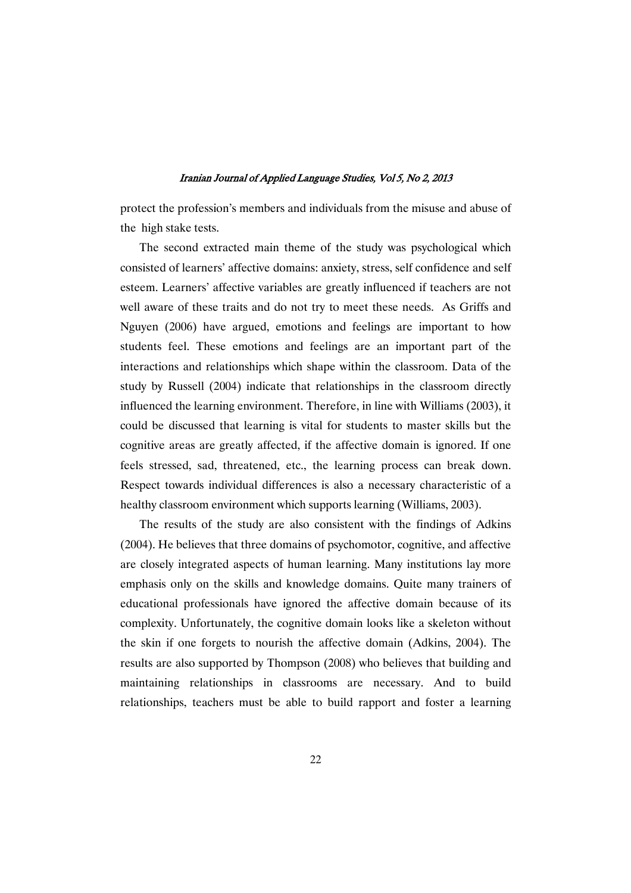protect the profession's members and individuals from the misuse and abuse of the high stake tests.

The second extracted main theme of the study was psychological which consisted of learners' affective domains: anxiety, stress, self confidence and self esteem. Learners' affective variables are greatly influenced if teachers are not well aware of these traits and do not try to meet these needs. As Griffs and Nguyen (2006) have argued, emotions and feelings are important to how students feel. These emotions and feelings are an important part of the interactions and relationships which shape within the classroom. Data of the study by Russell (2004) indicate that relationships in the classroom directly influenced the learning environment. Therefore, in line with Williams (2003), it could be discussed that learning is vital for students to master skills but the cognitive areas are greatly affected, if the affective domain is ignored. If one feels stressed, sad, threatened, etc., the learning process can break down. Respect towards individual differences is also a necessary characteristic of a healthy classroom environment which supports learning (Williams, 2003).

The results of the study are also consistent with the findings of Adkins (2004). He believes that three domains of psychomotor, cognitive, and affective are closely integrated aspects of human learning. Many institutions lay more emphasis only on the skills and knowledge domains. Quite many trainers of educational professionals have ignored the affective domain because of its complexity. Unfortunately, the cognitive domain looks like a skeleton without the skin if one forgets to nourish the affective domain (Adkins, 2004). The results are also supported by Thompson (2008) who believes that building and maintaining relationships in classrooms are necessary. And to build relationships, teachers must be able to build rapport and foster a learning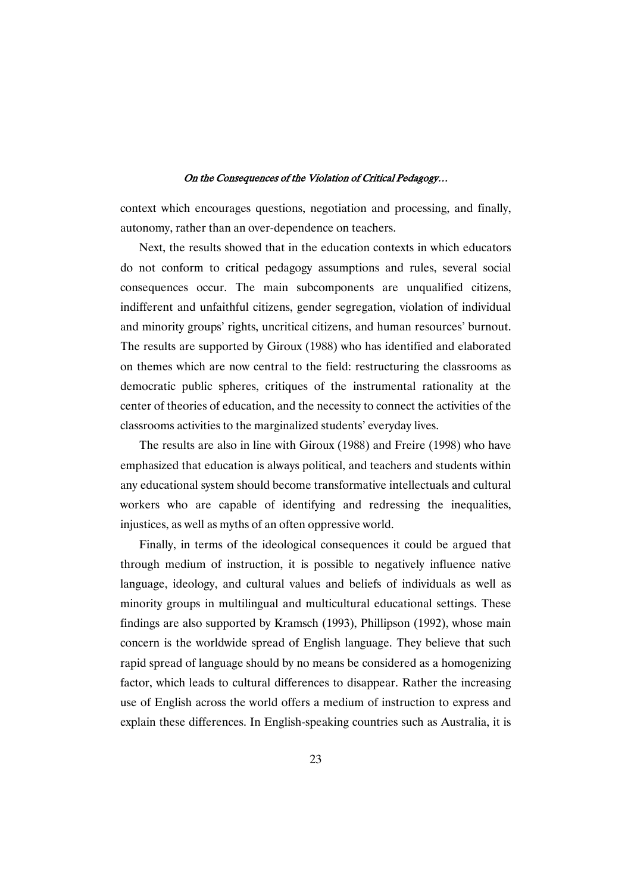context which encourages questions, negotiation and processing, and finally, autonomy, rather than an over-dependence on teachers.

Next, the results showed that in the education contexts in which educators do not conform to critical pedagogy assumptions and rules, several social consequences occur. The main subcomponents are unqualified citizens, indifferent and unfaithful citizens, gender segregation, violation of individual and minority groups' rights, uncritical citizens, and human resources' burnout. The results are supported by Giroux (1988) who has identified and elaborated on themes which are now central to the field: restructuring the classrooms as democratic public spheres, critiques of the instrumental rationality at the center of theories of education, and the necessity to connect the activities of the classrooms activities to the marginalized students' everyday lives.

The results are also in line with Giroux (1988) and Freire (1998) who have emphasized that education is always political, and teachers and students within any educational system should become transformative intellectuals and cultural workers who are capable of identifying and redressing the inequalities, injustices, as well as myths of an often oppressive world.

Finally, in terms of the ideological consequences it could be argued that through medium of instruction, it is possible to negatively influence native language, ideology, and cultural values and beliefs of individuals as well as minority groups in multilingual and multicultural educational settings. These findings are also supported by Kramsch (1993), Phillipson (1992), whose main concern is the worldwide spread of English language. They believe that such rapid spread of language should by no means be considered as a homogenizing factor, which leads to cultural differences to disappear. Rather the increasing use of English across the world offers a medium of instruction to express and explain these differences. In English-speaking countries such as Australia, it is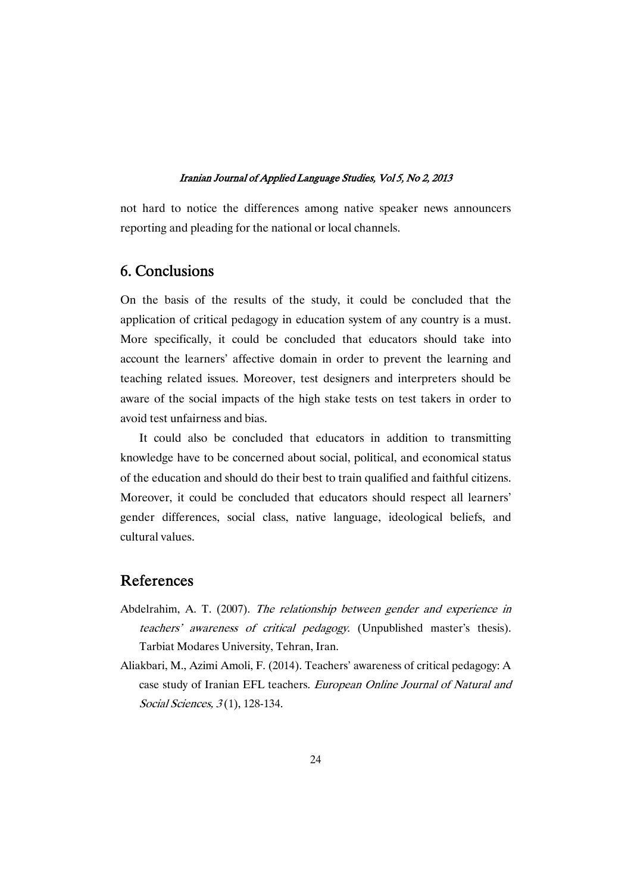not hard to notice the differences among native speaker news announcers reporting and pleading for the national or local channels.

# 6.Conclusions

On the basis of the results of the study, it could be concluded that the application of critical pedagogy in education system of any country is a must. More specifically, it could be concluded that educators should take into account the learners' affective domain in order to prevent the learning and teaching related issues. Moreover, test designers and interpreters should be aware of the social impacts of the high stake tests on test takers in order to avoid test unfairness and bias.

It could also be concluded that educators in addition to transmitting knowledge have to be concerned about social, political, and economical status of the education and should do their best to train qualified and faithful citizens. Moreover, it could be concluded that educators should respect all learners' gender differences, social class, native language, ideological beliefs, and cultural values.

# References

- Abdelrahim, A. T. (2007). The relationship between gender and experience in teachers' awareness of critical pedagogy. (Unpublished master's thesis). Tarbiat Modares University, Tehran, Iran.
- Aliakbari, M., Azimi Amoli, F. (2014). Teachers' awareness of critical pedagogy: A case study of Iranian EFL teachers. European Online Journal of Natural and Social Sciences,  $3(1)$ , 128-134.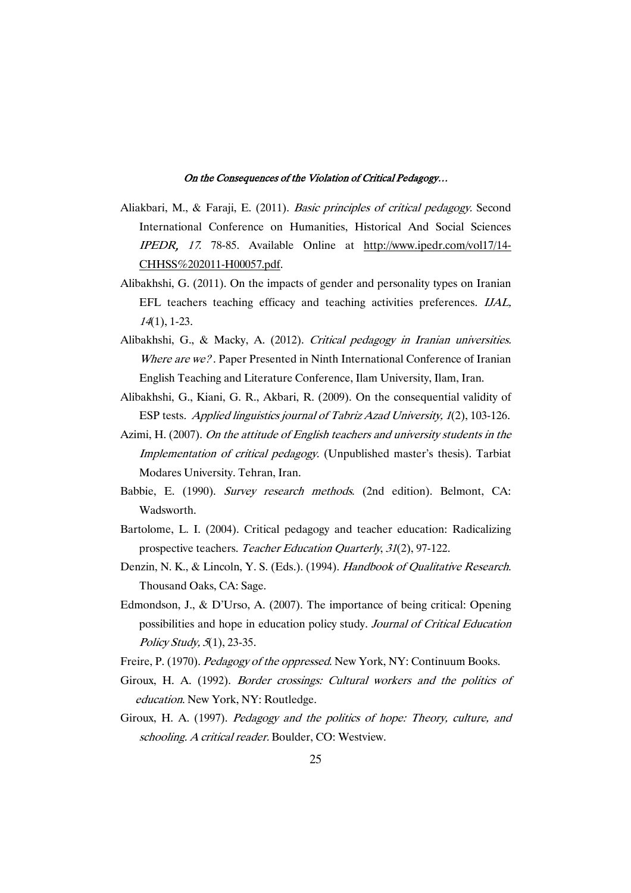- Aliakbari, M., & Faraji, E. (2011). Basic principles of critical pedagogy. Second International Conference on Humanities, Historical And Social Sciences IPEDR, <sup>17</sup>. 78-85. Available Online at http://www.ipedr.com/vol17/14- CHHSS%202011-H00057.pdf.
- Alibakhshi, G. (2011). On the impacts of gender and personality types on Iranian EFL teachers teaching efficacy and teaching activities preferences. IJAL, <sup>14</sup>(1), 1-23.
- Alibakhshi, G., & Macky, A. (2012). Critical pedagogy in Iranian universities. Where are we?. Paper Presented in Ninth International Conference of Iranian English Teaching and Literature Conference, Ilam University, Ilam, Iran.
- Alibakhshi, G., Kiani, G. R., Akbari, R. (2009). On the consequential validity of ESP tests. Applied linguistics journal of Tabriz Azad University, <sup>1</sup>(2), 103-126.
- Azimi, H. (2007). On the attitude of English teachers and university students in the Implementation of critical pedagogy. (Unpublished master's thesis). Tarbiat Modares University. Tehran, Iran.
- Babbie, E. (1990). Survey research methods. (2nd edition). Belmont, CA: Wadsworth.
- Bartolome, L. I. (2004). Critical pedagogy and teacher education: Radicalizing prospective teachers. Teacher Education Quarterly, <sup>31</sup>(2), 97-122.
- Denzin, N. K., & Lincoln, Y. S. (Eds.). (1994). Handbook of Qualitative Research. Thousand Oaks, CA: Sage.
- Edmondson, J., & D'Urso, A. (2007). The importance of being critical: Opening possibilities and hope in education policy study. Journal of Critical Education Policy Study, <sup>5</sup>(1), 23-35.
- Freire, P. (1970). Pedagogy of the oppressed. New York, NY: Continuum Books.
- Giroux, H. A. (1992). Border crossings: Cultural workers and the politics of education. New York, NY: Routledge.
- Giroux, H. A. (1997). Pedagogy and the politics of hope: Theory, culture, and schooling. <sup>A</sup> critical reader. Boulder, CO: Westview.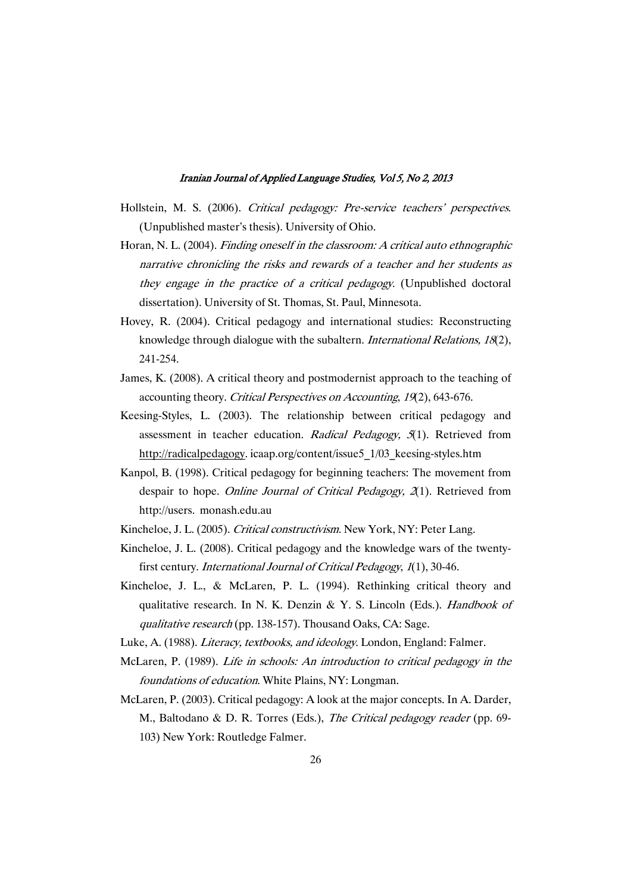- Hollstein, M. S. (2006). Critical pedagogy: Pre-service teachers' perspectives. (Unpublished master's thesis). University of Ohio.
- Horan, N. L. (2004). Finding oneself in the classroom: <sup>A</sup> critical auto ethnographic narrative chronicling the risks and rewards of <sup>a</sup> teacher and her students as they engage in the practice of <sup>a</sup> critical pedagogy. (Unpublished doctoral dissertation). University of St. Thomas, St. Paul, Minnesota.
- Hovey, R. (2004). Critical pedagogy and international studies: Reconstructing knowledge through dialogue with the subaltern. International Relations, <sup>18</sup>(2), 241-254.
- James, K. (2008). A critical theory and postmodernist approach to the teaching of accounting theory. Critical Perspectives on Accounting, <sup>19</sup>(2), 643-676.
- Keesing-Styles, L. (2003). The relationship between critical pedagogy and assessment in teacher education. Radical Pedagogy, 5(1). Retrieved from http://radicalpedagogy. icaap.org/content/issue5\_1/03\_keesing-styles.htm
- Kanpol, B. (1998). Critical pedagogy for beginning teachers: The movement from despair to hope. Online Journal of Critical Pedagogy, 2(1). Retrieved from http://users. monash.edu.au
- Kincheloe, J. L. (2005). Critical constructivism. New York, NY: Peter Lang.
- Kincheloe, J. L. (2008). Critical pedagogy and the knowledge wars of the twentyfirst century. International Journal of Critical Pedagogy, <sup>1</sup>(1), 30-46.
- Kincheloe, J. L., & McLaren, P. L. (1994). Rethinking critical theory and qualitative research. In N. K. Denzin & Y. S. Lincoln (Eds.). Handbook of qualitative research (pp. 138-157). Thousand Oaks, CA: Sage.
- Luke, A. (1988). *Literacy, textbooks, and ideology*. London, England: Falmer.
- McLaren, P. (1989). Life in schools: An introduction to critical pedagogy in the foundations of education. White Plains, NY: Longman.
- McLaren, P. (2003). Critical pedagogy: A look at the major concepts. In A. Darder, M., Baltodano & D. R. Torres (Eds.), The Critical pedagogy reader (pp. 69-103) New York: Routledge Falmer.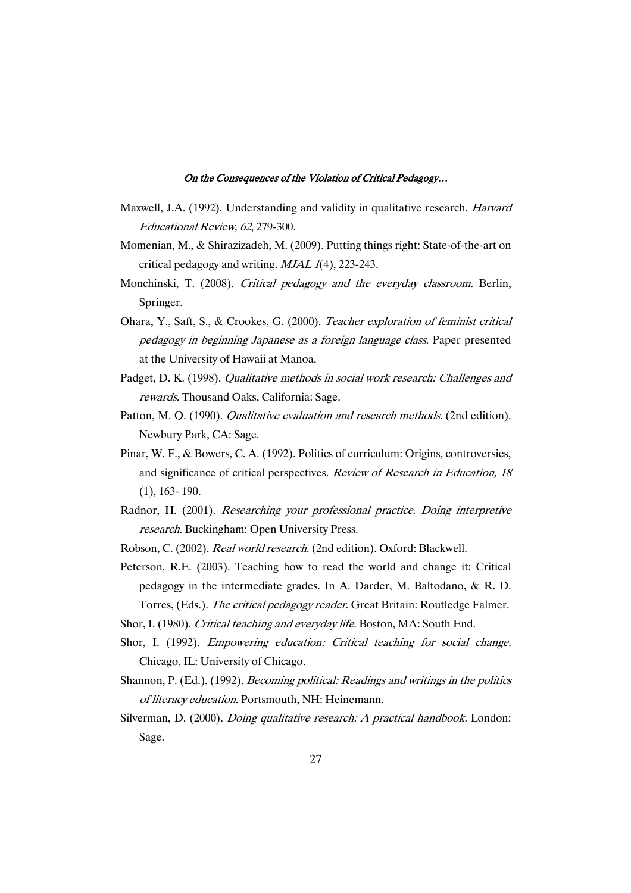- Maxwell, J.A. (1992). Understanding and validity in qualitative research. Harvard Educational Review, <sup>62</sup>, 279-300.
- Momenian, M., & Shirazizadeh, M. (2009). Putting things right: State-of-the-art on critical pedagogy and writing.  $M J A L 1(4)$ , 223-243.
- Monchinski, T. (2008). Critical pedagogy and the everyday classroom. Berlin, Springer.
- Ohara, Y., Saft, S., & Crookes, G. (2000). Teacher exploration of feminist critical pedagogy in beginning Japanese as <sup>a</sup> foreign language class. Paper presented at the University of Hawaii at Manoa.
- Padget, D. K. (1998). Qualitative methods in social work research: Challenges and rewards. Thousand Oaks, California: Sage.
- Patton, M. Q. (1990). *Qualitative evaluation and research methods.* (2nd edition). Newbury Park, CA: Sage.
- Pinar, W. F., & Bowers, C. A. (1992). Politics of curriculum: Origins, controversies, and significance of critical perspectives. Review of Research in Education, <sup>18</sup> (1), 163- 190.
- Radnor, H. (2001). Researching your professional practice. Doing interpretive research. Buckingham: Open University Press.
- Robson, C. (2002). Real world research. (2nd edition). Oxford: Blackwell.
- Peterson, R.E. (2003). Teaching how to read the world and change it: Critical pedagogy in the intermediate grades. In A. Darder, M. Baltodano, & R. D. Torres, (Eds.). The critical pedagogy reader. Great Britain: Routledge Falmer.
- Shor, I. (1980). Critical teaching and everyday life. Boston, MA: South End.
- Shor, I. (1992). Empowering education: Critical teaching for social change. Chicago, IL: University of Chicago.
- Shannon, P. (Ed.). (1992). Becoming political: Readings and writings in the politics of literacy education. Portsmouth, NH: Heinemann.
- Silverman, D. (2000). *Doing qualitative research: A practical handbook.* London: Sage.